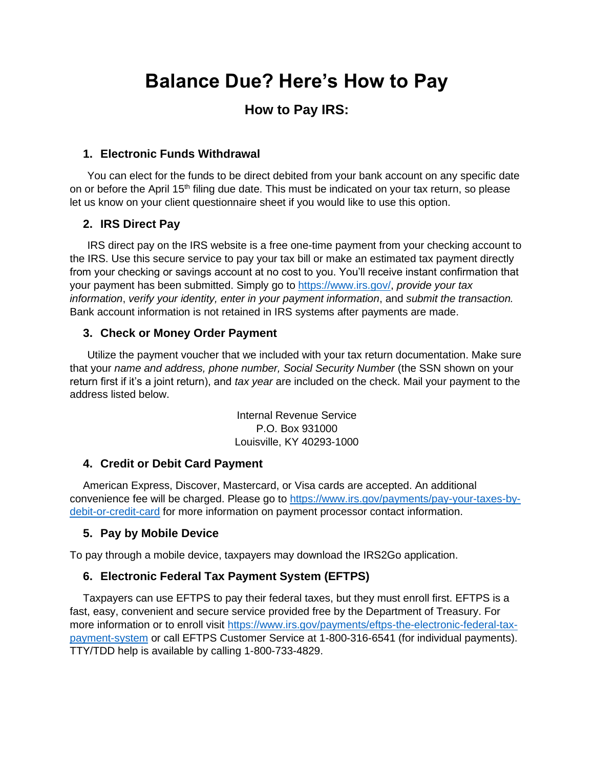# **Balance Due? Here's How to Pay**

## **How to Pay IRS:**

### **1. Electronic Funds Withdrawal**

You can elect for the funds to be direct debited from your bank account on any specific date on or before the April 15<sup>th</sup> filing due date. This must be indicated on your tax return, so please let us know on your client questionnaire sheet if you would like to use this option.

## **2. IRS Direct Pay**

IRS direct pay on the IRS website is a free one-time payment from your checking account to the IRS. Use this secure service to pay your tax bill or make an estimated tax payment directly from your checking or savings account at no cost to you. You'll receive instant confirmation that your payment has been submitted. Simply go to [https://www.irs.gov/,](https://www.irs.gov/) *provide your tax information*, *verify your identity, enter in your payment information*, and *submit the transaction.* Bank account information is not retained in IRS systems after payments are made.

### **3. Check or Money Order Payment**

Utilize the payment voucher that we included with your tax return documentation. Make sure that your *name and address, phone number, Social Security Number* (the SSN shown on your return first if it's a joint return), and *tax year* are included on the check. Mail your payment to the address listed below.

> Internal Revenue Service P.O. Box 931000 Louisville, KY 40293-1000

### **4. Credit or Debit Card Payment**

American Express, Discover, Mastercard, or Visa cards are accepted. An additional convenience fee will be charged. Please go to [https://www.irs.gov/payments/pay-your-taxes-by](https://www.irs.gov/payments/pay-your-taxes-by-debit-or-credit-card)[debit-or-credit-card](https://www.irs.gov/payments/pay-your-taxes-by-debit-or-credit-card) for more information on payment processor contact information.

### **5. Pay by Mobile Device**

To pay through a mobile device, taxpayers may download the IRS2Go application.

## **6. Electronic Federal Tax Payment System (EFTPS)**

Taxpayers can use EFTPS to pay their federal taxes, but they must enroll first. EFTPS is a fast, easy, convenient and secure service provided free by the Department of Treasury. For more information or to enroll visit [https://www.irs.gov/payments/eftps-the-electronic-federal-tax](https://www.irs.gov/payments/eftps-the-electronic-federal-tax-payment-system)[payment-system](https://www.irs.gov/payments/eftps-the-electronic-federal-tax-payment-system) or call EFTPS Customer Service at 1-800-316-6541 (for individual payments). TTY/TDD help is available by calling 1-800-733-4829.